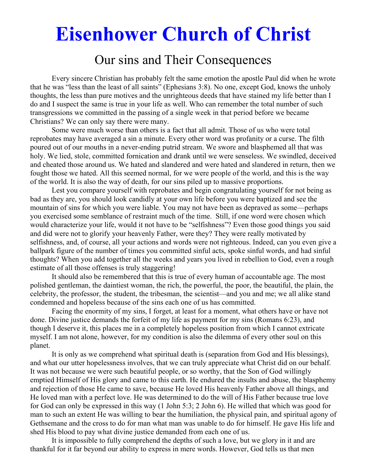# **Eisenhower Church of Christ**

# Our sins and Their Consequences

 Every sincere Christian has probably felt the same emotion the apostle Paul did when he wrote that he was "less than the least of all saints" (Ephesians 3:8). No one, except God, knows the unholy thoughts, the less than pure motives and the unrighteous deeds that have stained my life better than I do and I suspect the same is true in your life as well. Who can remember the total number of such transgressions we committed in the passing of a single week in that period before we became Christians? We can only say there were many.

 Some were much worse than others is a fact that all admit. Those of us who were total reprobates may have averaged a sin a minute. Every other word was profanity or a curse. The filth poured out of our mouths in a never-ending putrid stream. We swore and blasphemed all that was holy. We lied, stole, committed fornication and drank until we were senseless. We swindled, deceived and cheated those around us. We hated and slandered and were hated and slandered in return, then we fought those we hated. All this seemed normal, for we were people of the world, and this is the way of the world. It is also the way of death, for our sins piled up to massive proportions.

 Lest you compare yourself with reprobates and begin congratulating yourself for not being as bad as they are, you should look candidly at your own life before you were baptized and see the mountain of sins for which you were liable. You may not have been as depraved as some—perhaps you exercised some semblance of restraint much of the time. Still, if one word were chosen which would characterize your life, would it not have to be "selfishness"? Even those good things you said and did were not to glorify your heavenly Father, were they? They were really motivated by selfishness, and, of course, all your actions and words were not righteous. Indeed, can you even give a ballpark figure of the number of times you committed sinful acts, spoke sinful words, and had sinful thoughts? When you add together all the weeks and years you lived in rebellion to God, even a rough estimate of all those offenses is truly staggering!

 It should also be remembered that this is true of every human of accountable age. The most polished gentleman, the daintiest woman, the rich, the powerful, the poor, the beautiful, the plain, the celebrity, the professor, the student, the tribesman, the scientist—and you and me; we all alike stand condemned and hopeless because of the sins each one of us has committed.

 Facing the enormity of my sins, I forget, at least for a moment, what others have or have not done. Divine justice demands the forfeit of my life as payment for my sins (Romans 6:23), and though I deserve it, this places me in a completely hopeless position from which I cannot extricate myself. I am not alone, however, for my condition is also the dilemma of every other soul on this planet.

 It is only as we comprehend what spiritual death is (separation from God and His blessings), and what our utter hopelessness involves, that we can truly appreciate what Christ did on our behalf. It was not because we were such beautiful people, or so worthy, that the Son of God willingly emptied Himself of His glory and came to this earth. He endured the insults and abuse, the blasphemy and rejection of those He came to save, because He loved His heavenly Father above all things, and He loved man with a perfect love. He was determined to do the will of His Father because true love for God can only be expressed in this way (1 John 5:3; 2 John 6). He willed that which was good for man to such an extent He was willing to bear the humiliation, the physical pain, and spiritual agony of Gethsemane and the cross to do for man what man was unable to do for himself. He gave His life and shed His blood to pay what divine justice demanded from each one of us.

 It is impossible to fully comprehend the depths of such a love, but we glory in it and are thankful for it far beyond our ability to express in mere words. However, God tells us that men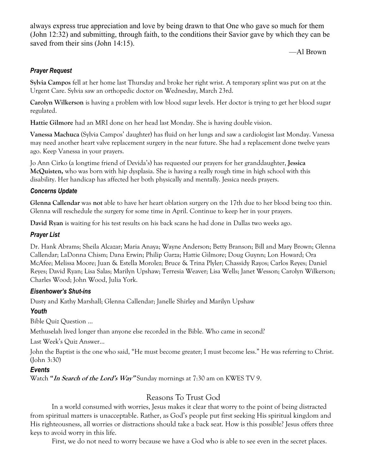always express true appreciation and love by being drawn to that One who gave so much for them (John 12:32) and submitting, through faith, to the conditions their Savior gave by which they can be saved from their sins (John 14:15).

—Al Brown

## *Prayer Request*

**Sylvia Campos** fell at her home last Thursday and broke her right wrist. A temporary splint was put on at the Urgent Care. Sylvia saw an orthopedic doctor on Wednesday, March 23rd.

**Carolyn Wilkerson** is having a problem with low blood sugar levels. Her doctor is trying to get her blood sugar regulated.

**Hattie Gilmore** had an MRI done on her head last Monday. She is having double vision.

**Vanessa Machuca** (Sylvia Campos' daughter) has fluid on her lungs and saw a cardiologist last Monday. Vanessa may need another heart valve replacement surgery in the near future. She had a replacement done twelve years ago. Keep Vanessa in your prayers.

Jo Ann Cirko (a longtime friend of Devida's) has requested our prayers for her granddaughter, **Jessica McQuisten,** who was born with hip dysplasia. She is having a really rough time in high school with this disability. Her handicap has affected her both physically and mentally. Jessica needs prayers.

### *Concerns Update*

**Glenna Callendar** was **not** able to have her heart oblation surgery on the 17th due to her blood being too thin. Glenna will reschedule the surgery for some time in April. Continue to keep her in your prayers.

**David Ryan** is waiting for his test results on his back scans he had done in Dallas two weeks ago.

### *Prayer List*

Dr. Hank Abrams; Sheila Alcazar; Maria Anaya; Wayne Anderson; Betty Branson; Bill and Mary Brown; Glenna Callendar; LaDonna Chism; Dana Erwin; Philip Garza; Hattie Gilmore; Doug Guynn; Lon Howard; Ora McAfee; Melissa Moore; Juan & Estella Morolez; Bruce & Trina Plyler; Chassidy Rayos; Carlos Reyes; Daniel Reyes; David Ryan; Lisa Salas; Marilyn Upshaw; Terresia Weaver; Lisa Wells; Janet Wesson; Carolyn Wilkerson; Charles Wood; John Wood, Julia York.

### *Eisenhower's Shut-ins*

Dusty and Kathy Marshall; Glenna Callendar; Janelle Shirley and Marilyn Upshaw

### *Youth*

Bible Quiz Question …

Methuselah lived longer than anyone else recorded in the Bible. Who came in second?

Last Week's Quiz Answer…

John the Baptist is the one who said, "He must become greater; I must become less." He was referring to Christ. (John 3:30)

### *Events*

Watch **"In Search of the Lord's Way"** Sunday mornings at 7:30 am on KWES TV 9.

# Reasons To Trust God

 In a world consumed with worries, Jesus makes it clear that worry to the point of being distracted from spiritual matters is unacceptable. Rather, as God's people put first seeking His spiritual kingdom and His righteousness, all worries or distractions should take a back seat. How is this possible? Jesus offers three keys to avoid worry in this life.

First, we do not need to worry because we have a God who is able to see even in the secret places.